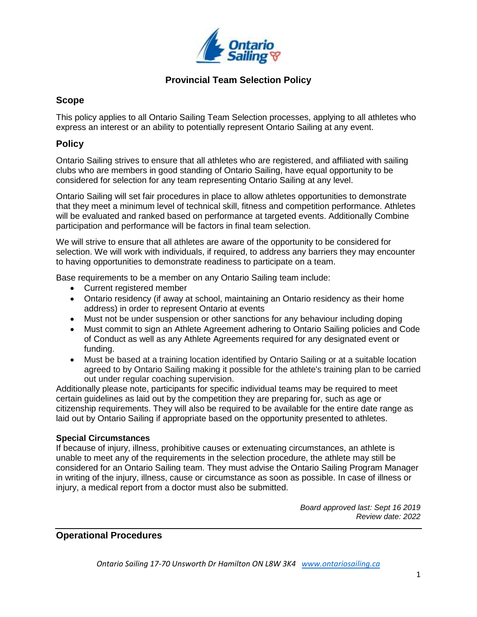

## **Provincial Team Selection Policy**

## **Scope**

This policy applies to all Ontario Sailing Team Selection processes, applying to all athletes who express an interest or an ability to potentially represent Ontario Sailing at any event.

## **Policy**

Ontario Sailing strives to ensure that all athletes who are registered, and affiliated with sailing clubs who are members in good standing of Ontario Sailing, have equal opportunity to be considered for selection for any team representing Ontario Sailing at any level.

Ontario Sailing will set fair procedures in place to allow athletes opportunities to demonstrate that they meet a minimum level of technical skill, fitness and competition performance. Athletes will be evaluated and ranked based on performance at targeted events. Additionally Combine participation and performance will be factors in final team selection.

We will strive to ensure that all athletes are aware of the opportunity to be considered for selection. We will work with individuals, if required, to address any barriers they may encounter to having opportunities to demonstrate readiness to participate on a team.

Base requirements to be a member on any Ontario Sailing team include:

- Current registered member
- Ontario residency (if away at school, maintaining an Ontario residency as their home address) in order to represent Ontario at events
- Must not be under suspension or other sanctions for any behaviour including doping
- Must commit to sign an Athlete Agreement adhering to Ontario Sailing policies and Code of Conduct as well as any Athlete Agreements required for any designated event or funding.
- Must be based at a training location identified by Ontario Sailing or at a suitable location agreed to by Ontario Sailing making it possible for the athlete's training plan to be carried out under regular coaching supervision.

Additionally please note, participants for specific individual teams may be required to meet certain guidelines as laid out by the competition they are preparing for, such as age or citizenship requirements. They will also be required to be available for the entire date range as laid out by Ontario Sailing if appropriate based on the opportunity presented to athletes.

### **Special Circumstances**

If because of injury, illness, prohibitive causes or extenuating circumstances, an athlete is unable to meet any of the requirements in the selection procedure, the athlete may still be considered for an Ontario Sailing team. They must advise the Ontario Sailing Program Manager in writing of the injury, illness, cause or circumstance as soon as possible. In case of illness or injury, a medical report from a doctor must also be submitted.

> *Board approved last: Sept 16 2019 Review date: 2022*

# **Operational Procedures**